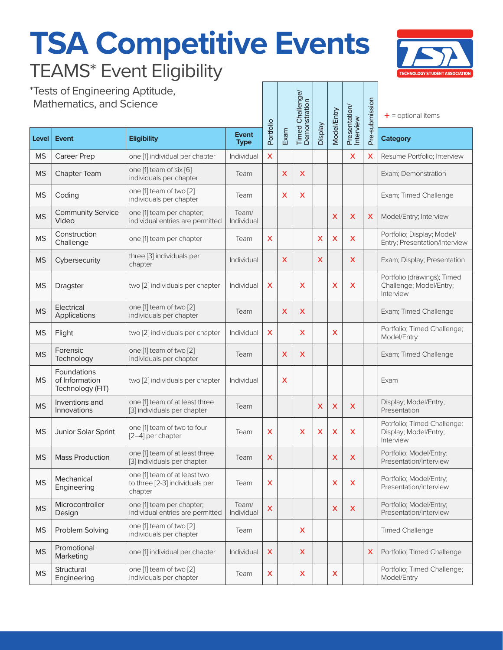## **TSA Competitive Events** TEAMS\* Event Eligibility



\*Tests of Engineering Aptitude, Mathematics, and Science

| *Tests of Engineering Aptitude,<br><b>Mathematics, and Science</b> |                                                   |                                                                           |                             |                         |      | <b>Timed Challenge/</b><br>Demonstration |         | <b>Model/Entry</b>      | Presentation/<br>Interview | Pre-submission            | $+$ = optional items                                                |
|--------------------------------------------------------------------|---------------------------------------------------|---------------------------------------------------------------------------|-----------------------------|-------------------------|------|------------------------------------------|---------|-------------------------|----------------------------|---------------------------|---------------------------------------------------------------------|
| Level                                                              | <b>Event</b>                                      | <b>Eligibility</b>                                                        | <b>Event</b><br><b>Type</b> | Portfolio               | Exam |                                          | Veldsig |                         |                            |                           | <b>Category</b>                                                     |
| <b>MS</b>                                                          | <b>Career Prep</b>                                | one [1] individual per chapter                                            | Individual                  | $\overline{\mathsf{x}}$ |      |                                          |         |                         | $\boldsymbol{\mathsf{X}}$  | Х                         | Resume Portfolio; Interview                                         |
| <b>MS</b>                                                          | Chapter Team                                      | one [1] team of six [6]<br>individuals per chapter                        | Team                        |                         | X    | X                                        |         |                         |                            |                           | Exam; Demonstration                                                 |
| <b>MS</b>                                                          | Coding                                            | one [1] team of two [2]<br>individuals per chapter                        | Team                        |                         | X    | x                                        |         |                         |                            |                           | Exam; Timed Challenge                                               |
| <b>MS</b>                                                          | <b>Community Service</b><br>Video                 | one [1] team per chapter;<br>individual entries are permitted             | Team/<br>Individual         |                         |      |                                          |         | $\overline{\mathsf{x}}$ | X                          | X                         | Model/Entry; Interview                                              |
| <b>MS</b>                                                          | Construction<br>Challenge                         | one [1] team per chapter                                                  | Team                        | X                       |      |                                          | X       | X                       | X                          |                           | Portfolio; Display; Model/<br>Entry; Presentation/Interview         |
| <b>MS</b>                                                          | Cybersecurity                                     | three [3] individuals per<br>chapter                                      | Individual                  |                         | X    |                                          | X       |                         | X                          |                           | Exam; Display; Presentation                                         |
| <b>MS</b>                                                          | Dragster                                          | two [2] individuals per chapter                                           | Individual                  | X                       |      | X                                        |         | X                       | X                          |                           | Portfolio (drawings); Timed<br>Challenge; Model/Entry;<br>Interview |
| <b>MS</b>                                                          | Electrical<br>Applications                        | one [1] team of two [2]<br>individuals per chapter                        | Team                        |                         | X    | X                                        |         |                         |                            |                           | Exam; Timed Challenge                                               |
| <b>MS</b>                                                          | Flight                                            | two [2] individuals per chapter                                           | Individual                  | X                       |      | X.                                       |         | X                       |                            |                           | Portfolio; Timed Challenge;<br>Model/Entry                          |
| <b>MS</b>                                                          | Forensic<br>Technology                            | one [1] team of two [2]<br>individuals per chapter                        | Team                        |                         | X    | X                                        |         |                         |                            |                           | Exam; Timed Challenge                                               |
| <b>MS</b>                                                          | Foundations<br>of Information<br>Technology (FIT) | two [2] individuals per chapter                                           | Individual                  |                         | X    |                                          |         |                         |                            |                           | Exam                                                                |
| <b>MS</b>                                                          | Inventions and<br>Innovations                     | one [1] team of at least three<br>[3] individuals per chapter             | Team                        |                         |      |                                          | X       | X                       | X                          |                           | Display; Model/Entry;<br>Presentation                               |
| <b>MS</b>                                                          | Junior Solar Sprint                               | one [1] team of two to four<br>[2-4] per chapter                          | Team                        | X                       |      | X                                        | X       | X                       | X                          |                           | Potrfolio; Timed Challenge:<br>Display; Model/Entry;<br>Interview   |
| <b>MS</b>                                                          | <b>Mass Production</b>                            | one [1] team of at least three<br>[3] individuals per chapter             | Team                        | X                       |      |                                          |         | X                       | X                          |                           | Portfolio; Model/Entry;<br>Presentation/Interview                   |
| <b>MS</b>                                                          | Mechanical<br>Engineering                         | one [1] team of at least two<br>to three [2-3] individuals per<br>chapter | Team                        | X                       |      |                                          |         | X                       | X                          |                           | Portfolio; Model/Entry;<br>Presentation/Interview                   |
| <b>MS</b>                                                          | Microcontroller<br>Design                         | one [1] team per chapter;<br>individual entries are permitted             | Team/<br>Individual         | X                       |      |                                          |         | X                       | X                          |                           | Portfolio; Model/Entry;<br>Presentation/Interview                   |
| <b>MS</b>                                                          | Problem Solving                                   | one [1] team of two [2]<br>individuals per chapter                        | Team                        |                         |      | X.                                       |         |                         |                            |                           | <b>Timed Challenge</b>                                              |
| <b>MS</b>                                                          | Promotional<br>Marketing                          | one [1] individual per chapter                                            | Individual                  | X                       |      | X                                        |         |                         |                            | $\boldsymbol{\mathsf{X}}$ | Portfolio; Timed Challenge                                          |
| <b>MS</b>                                                          | Structural<br>Engineering                         | one [1] team of two [2]<br>individuals per chapter                        | Team                        | X                       |      | X                                        |         | X                       |                            |                           | Portfolio; Timed Challenge;<br>Model/Entry                          |